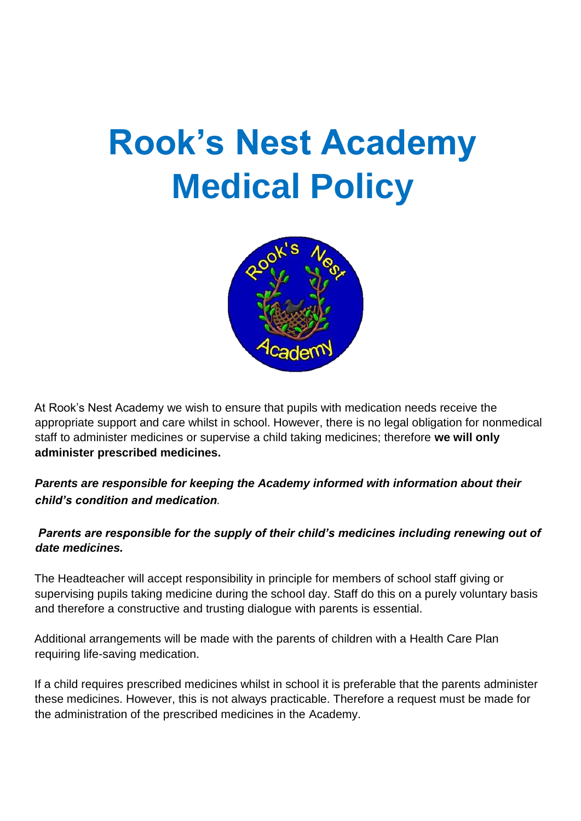# **Rook's Nest Academy Medical Policy**



At Rook's Nest Academy we wish to ensure that pupils with medication needs receive the appropriate support and care whilst in school. However, there is no legal obligation for nonmedical staff to administer medicines or supervise a child taking medicines; therefore **we will only administer prescribed medicines.** 

## *Parents are responsible for keeping the Academy informed with information about their child's condition and medication.*

## *Parents are responsible for the supply of their child's medicines including renewing out of date medicines.*

The Headteacher will accept responsibility in principle for members of school staff giving or supervising pupils taking medicine during the school day. Staff do this on a purely voluntary basis and therefore a constructive and trusting dialogue with parents is essential.

Additional arrangements will be made with the parents of children with a Health Care Plan requiring life-saving medication.

If a child requires prescribed medicines whilst in school it is preferable that the parents administer these medicines. However, this is not always practicable. Therefore a request must be made for the administration of the prescribed medicines in the Academy.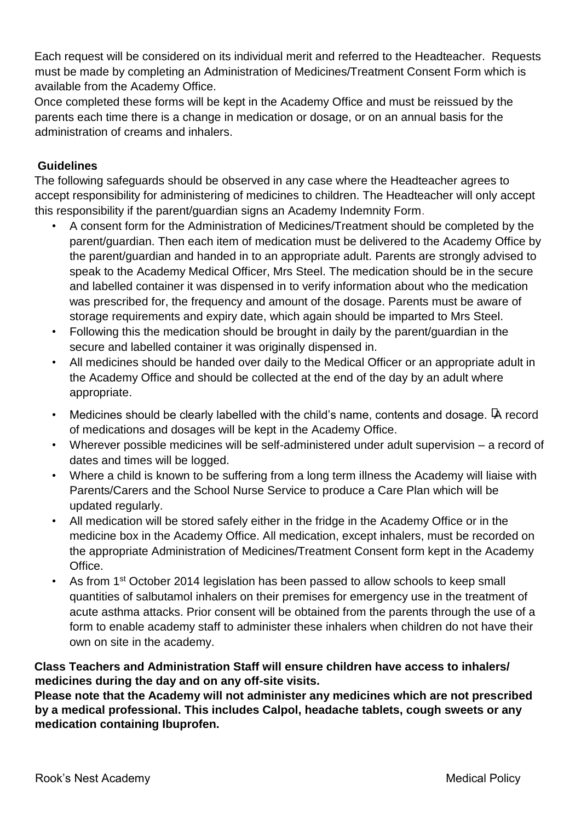Each request will be considered on its individual merit and referred to the Headteacher. Requests must be made by completing an Administration of Medicines/Treatment Consent Form which is available from the Academy Office.

Once completed these forms will be kept in the Academy Office and must be reissued by the parents each time there is a change in medication or dosage, or on an annual basis for the administration of creams and inhalers.

## **Guidelines**

The following safeguards should be observed in any case where the Headteacher agrees to accept responsibility for administering of medicines to children. The Headteacher will only accept this responsibility if the parent/guardian signs an Academy Indemnity Form.

- A consent form for the Administration of Medicines/Treatment should be completed by the parent/guardian. Then each item of medication must be delivered to the Academy Office by the parent/guardian and handed in to an appropriate adult. Parents are strongly advised to speak to the Academy Medical Officer, Mrs Steel. The medication should be in the secure and labelled container it was dispensed in to verify information about who the medication was prescribed for, the frequency and amount of the dosage. Parents must be aware of storage requirements and expiry date, which again should be imparted to Mrs Steel.
- Following this the medication should be brought in daily by the parent/guardian in the secure and labelled container it was originally dispensed in.
- All medicines should be handed over daily to the Medical Officer or an appropriate adult in the Academy Office and should be collected at the end of the day by an adult where appropriate.
- Medicines should be clearly labelled with the child's name, contents and dosage.  $\overline{A}$  record of medications and dosages will be kept in the Academy Office.
- Wherever possible medicines will be self-administered under adult supervision a record of dates and times will be logged.
- Where a child is known to be suffering from a long term illness the Academy will liaise with Parents/Carers and the School Nurse Service to produce a Care Plan which will be updated regularly.
- All medication will be stored safely either in the fridge in the Academy Office or in the medicine box in the Academy Office. All medication, except inhalers, must be recorded on the appropriate Administration of Medicines/Treatment Consent form kept in the Academy Office.
- As from 1<sup>st</sup> October 2014 legislation has been passed to allow schools to keep small quantities of salbutamol inhalers on their premises for emergency use in the treatment of acute asthma attacks. Prior consent will be obtained from the parents through the use of a form to enable academy staff to administer these inhalers when children do not have their own on site in the academy.

## **Class Teachers and Administration Staff will ensure children have access to inhalers/ medicines during the day and on any off-site visits.**

**Please note that the Academy will not administer any medicines which are not prescribed by a medical professional. This includes Calpol, headache tablets, cough sweets or any medication containing Ibuprofen.**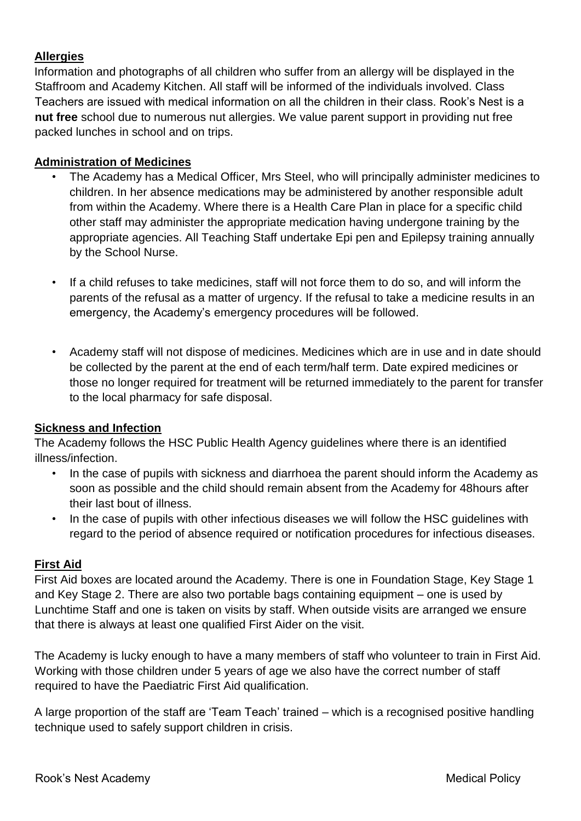#### **Allergies**

Information and photographs of all children who suffer from an allergy will be displayed in the Staffroom and Academy Kitchen. All staff will be informed of the individuals involved. Class Teachers are issued with medical information on all the children in their class. Rook's Nest is a **nut free** school due to numerous nut allergies. We value parent support in providing nut free packed lunches in school and on trips.

#### **Administration of Medicines**

- The Academy has a Medical Officer, Mrs Steel, who will principally administer medicines to children. In her absence medications may be administered by another responsible adult from within the Academy. Where there is a Health Care Plan in place for a specific child other staff may administer the appropriate medication having undergone training by the appropriate agencies. All Teaching Staff undertake Epi pen and Epilepsy training annually by the School Nurse.
- If a child refuses to take medicines, staff will not force them to do so, and will inform the parents of the refusal as a matter of urgency. If the refusal to take a medicine results in an emergency, the Academy's emergency procedures will be followed.
- Academy staff will not dispose of medicines. Medicines which are in use and in date should be collected by the parent at the end of each term/half term. Date expired medicines or those no longer required for treatment will be returned immediately to the parent for transfer to the local pharmacy for safe disposal.

#### **Sickness and Infection**

The Academy follows the HSC Public Health Agency guidelines where there is an identified illness/infection.

- In the case of pupils with sickness and diarrhoea the parent should inform the Academy as soon as possible and the child should remain absent from the Academy for 48hours after their last bout of illness.
- In the case of pupils with other infectious diseases we will follow the HSC quidelines with regard to the period of absence required or notification procedures for infectious diseases.

#### **First Aid**

First Aid boxes are located around the Academy. There is one in Foundation Stage, Key Stage 1 and Key Stage 2. There are also two portable bags containing equipment – one is used by Lunchtime Staff and one is taken on visits by staff. When outside visits are arranged we ensure that there is always at least one qualified First Aider on the visit.

The Academy is lucky enough to have a many members of staff who volunteer to train in First Aid. Working with those children under 5 years of age we also have the correct number of staff required to have the Paediatric First Aid qualification.

A large proportion of the staff are 'Team Teach' trained – which is a recognised positive handling technique used to safely support children in crisis.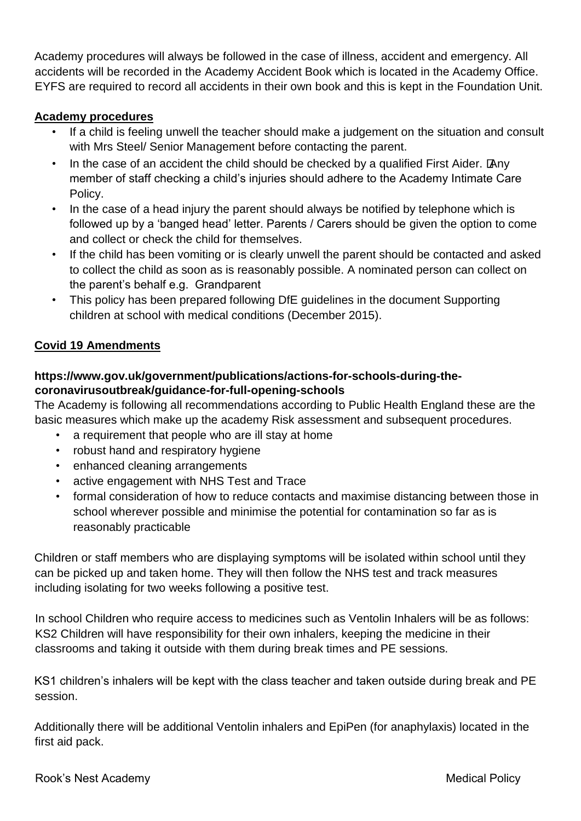Academy procedures will always be followed in the case of illness, accident and emergency. All accidents will be recorded in the Academy Accident Book which is located in the Academy Office. EYFS are required to record all accidents in their own book and this is kept in the Foundation Unit.

#### **Academy procedures**

- If a child is feeling unwell the teacher should make a judgement on the situation and consult with Mrs Steel/ Senior Management before contacting the parent.
- In the case of an accident the child should be checked by a qualified First Aider. Tany member of staff checking a child's injuries should adhere to the Academy Intimate Care Policy.
- In the case of a head injury the parent should always be notified by telephone which is followed up by a 'banged head' letter. Parents / Carers should be given the option to come and collect or check the child for themselves.
- If the child has been vomiting or is clearly unwell the parent should be contacted and asked to collect the child as soon as is reasonably possible. A nominated person can collect on the parent's behalf e.g. Grandparent
- This policy has been prepared following DfE guidelines in the document Supporting children at school with medical conditions (December 2015).

## **Covid 19 Amendments**

## **https://www.gov.uk/government/publications/actions-for-schools-during-thecoronavirusoutbreak/guidance-for-full-opening-schools**

The Academy is following all recommendations according to Public Health England these are the basic measures which make up the academy Risk assessment and subsequent procedures.

- a requirement that people who are ill stay at home
- robust hand and respiratory hygiene
- enhanced cleaning arrangements
- active engagement with NHS Test and Trace
- formal consideration of how to reduce contacts and maximise distancing between those in school wherever possible and minimise the potential for contamination so far as is reasonably practicable

Children or staff members who are displaying symptoms will be isolated within school until they can be picked up and taken home. They will then follow the NHS test and track measures including isolating for two weeks following a positive test.

In school Children who require access to medicines such as Ventolin Inhalers will be as follows: KS2 Children will have responsibility for their own inhalers, keeping the medicine in their classrooms and taking it outside with them during break times and PE sessions.

KS1 children's inhalers will be kept with the class teacher and taken outside during break and PE session.

Additionally there will be additional Ventolin inhalers and EpiPen (for anaphylaxis) located in the first aid pack.